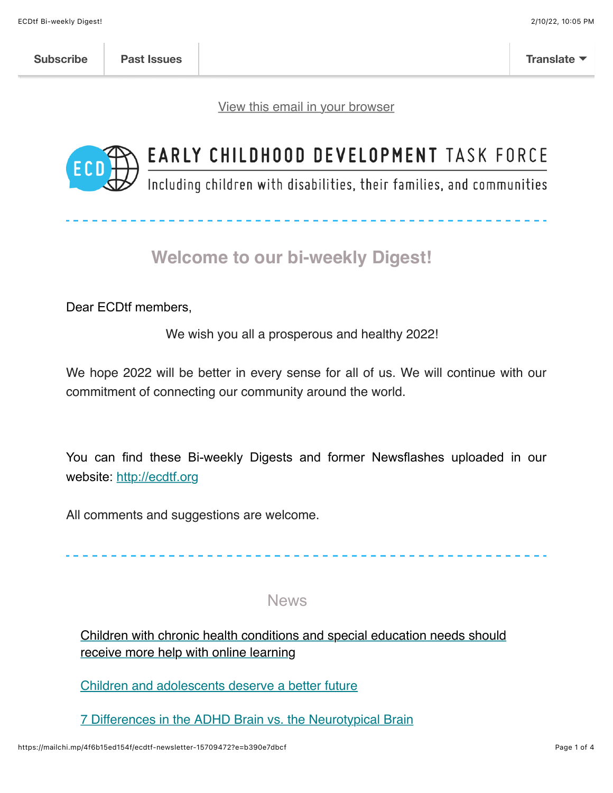[View this email in your browser](https://mailchi.mp/4f6b15ed154f/ecdtf-newsletter-15709472?e=b390e7dbcf)



# EARLY CHILDHOOD DEVELOPMENT TASK FORCE

Including children with disabilities, their families, and communities

## **Welcome to our bi-weekly Digest!**

Dear ECDtf members,

We wish you all a prosperous and healthy 2022!

We hope 2022 will be better in every sense for all of us. We will continue with our commitment of connecting our community around the world.

You can find these Bi-weekly Digests and former Newsflashes uploaded in our website: [http://ecdtf.org](http://ecdtf.org/)

All comments and suggestions are welcome.

### News

[Children with chronic health conditions and special education needs should](https://medicalxpress.com/news/2022-01-children-chronic-health-conditions-special.html) receive more help with online learning

[Children and adolescents deserve a better future](https://www.thelancet.com/journals/lancet/article/PIIS0140-6736(22)00006-X/fulltext?dgcid=raven_jbs_etoc_email)

[7 Differences in the ADHD Brain vs. the Neurotypical Brain](https://www.psychologytoday.com/us/blog/the-reality-gen-z/202112/7-differences-in-the-adhd-brain-vs-the-neurotypical-brain)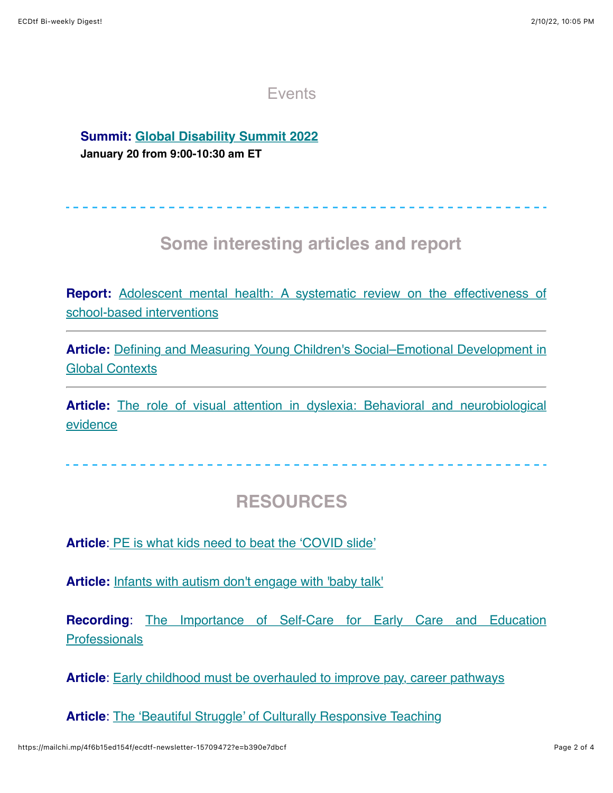### **Events**

## **Summit: [Global Disability Summit 2022](https://www.globaldisabilitysummit.org/)**

**January 20 from 9:00-10:30 am ET**

## **Some interesting articles and report**

**Report:** [Adolescent mental health: A systematic review on the effectiveness of](https://www.eif.org.uk/report/adolescent-mental-health-a-systematic-review-on-the-effectiveness-of-school-based-interventions) school-based interventions

**Article:** [Defining and Measuring Young Children's Social–Emotional Development in](https://books.google.com/books?hl=en&lr=&id=maRXEAAAQBAJ&oi=fnd&pg=PT73&ots=7hzSer8SUN&sig=2U71PExOWA6aUFltFG0DSynXg4U#v=onepage&q&f=false) Global Contexts

**Article:** [The role of visual attention in dyslexia: Behavioral and neurobiological](https://www.docwirenews.com/abstracts/the-role-of-visual-attention-in-dyslexia-behavioral-and-neurobiological-evidence-2/) evidence

## **RESOURCES**

**Article**[:](https://districtadministration.com/pe-is-what-kids-need-to-beat-the-covid-slide/) [PE is what kids need to beat the 'COVID slide'](https://districtadministration.com/pe-is-what-kids-need-to-beat-the-covid-slide/)

**Article:** [Infants with autism don't engage with 'baby talk'](https://www.upi.com/Health_News/2022/01/05/infants-autism-baby-talk/4811641406478/)

**Recording**[: The Importance of Self-Care for Early Care and Education](https://www.youtube-nocookie.com/embed/x9tPoR4Ctec?playlist=x9tPoR4Ctec&autoplay=1&iv_load_policy=3&loop=1&modestbranding=1&start=) **Professionals** 

**Article**: [Early childhood must be overhauled to improve pay, career pathways](https://www.k12dive.com/news/early-childhood-must-be-overhauled-to-improve-pay-career-pathways/601753/)

**Article:** [The 'Beautiful Struggle' of Culturally Responsive Teaching](https://www.edutopia.org/article/beautiful-struggle-culturally-responsive-teaching?utm_content=linkpos2&utm_campaign=weekly-2022-01-12-A&utm_source=edu-newsletter&utm_medium=email)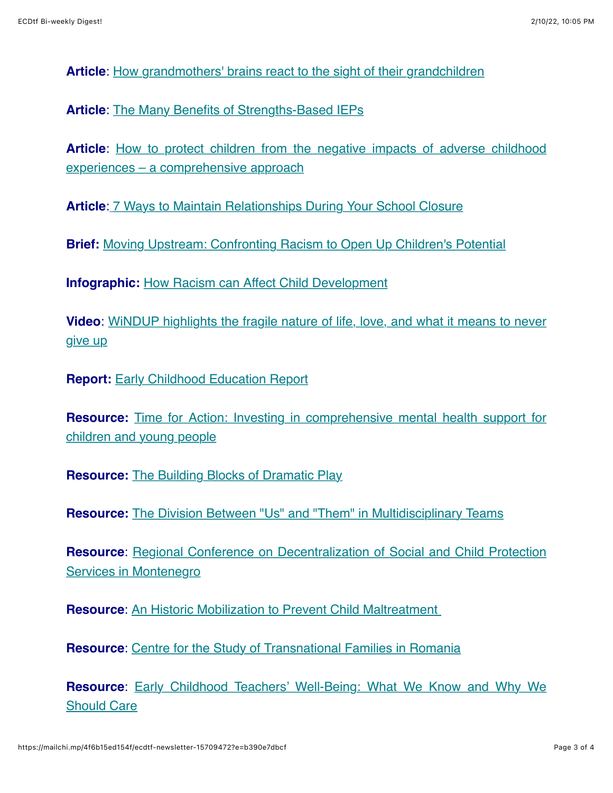**Article**: [How grandmothers' brains react to the sight of their grandchildren](https://news.emory.edu/stories/2021/11/esc_grandmothers_brain_reaction_grandchildren_rilling_lee_17-11-2021/campus.html)

**Article:** [The Many Benefits of Strengths-Based IEPs](https://www.edutopia.org/article/many-benefits-strengths-based-ieps?utm_content=linkpos7&utm_source=edu-newsletter&utm_medium=email&utm_campaign=weekly-2022-01-12-A)

**Article**[: How to protect children from the negative impacts of adverse childhood](https://childandfamilyblog.com/adverse-childhood-experiences-negatively-affect-development/) experiences – a comprehensive approach

**Article**[:](https://www.edutopia.org/article/7-ways-maintain-relationships-during-your-school-closure?utm_content=linkpos-archive&utm_source=edu-newsletter&utm_medium=email&utm_campaign=weekly-2022-01-05-A) [7 Ways to Maintain Relationships During Your School Closure](https://www.edutopia.org/article/7-ways-maintain-relationships-during-your-school-closure?utm_content=linkpos-archive&utm_source=edu-newsletter&utm_medium=email&utm_campaign=weekly-2022-01-05-A)

**Brief:** [Moving Upstream: Confronting Racism to Open Up Children's Potential](https://developingchild.harvard.edu/resources/moving-upstream-confronting-racism-to-open-up-childrens-potential/)

**Infographic:** [How Racism can Affect Child Development](https://developingchild.harvard.edu/resources/racism-and-ecd/)

**Video**[: WiNDUP highlights the fragile nature of life, love, and what it means to never](https://www.youtube.com/watch?v=efGqe1j3RNk) give up

**Report: [Early Childhood Education Report](https://ecereport.ca/en/)** 

**Resource:** [Time for Action: Investing in comprehensive mental health support for](https://cypmhc.org.uk/wp-content/uploads/2021/12/CentreforMH_TimeForAction.pdf) children and young people

**Resource:** [The Building Blocks of Dramatic Play](https://www.edutopia.org/article/building-blocks-dramatic-play)

**Resource:** [The Division Between "Us" and "Them" in Multidisciplinary Teams](https://childhub.org/en/child-protection-news/division-between-us-and-them-multidisciplinary-teams)

**Resource**[: Regional Conference on Decentralization of Social and Child Protection](https://www.preduzetnica.me/teme/vijesti/odrzana-regionana-konferencija-decentralizacija-usluga-socijalne-i-djecje-zastite/) Services in Montenegro

**Resource**: [An Historic Mobilization to Prevent Child Maltreatment](https://www.csdepj.gouv.qc.ca/home/?L=1) 

**Resource:** [Centre for the Study of Transnational Families in Romania](https://childhub.org/en/child-protection-news/centre-study-transnational-families-romania)

**Resource**[: Early Childhood Teachers' Well-Being: What We Know and Why We](https://www.zerotothree.org/resources/3912-early-childhood-teachers-well-being-what-we-know-and-why-we-should-care) Should Care